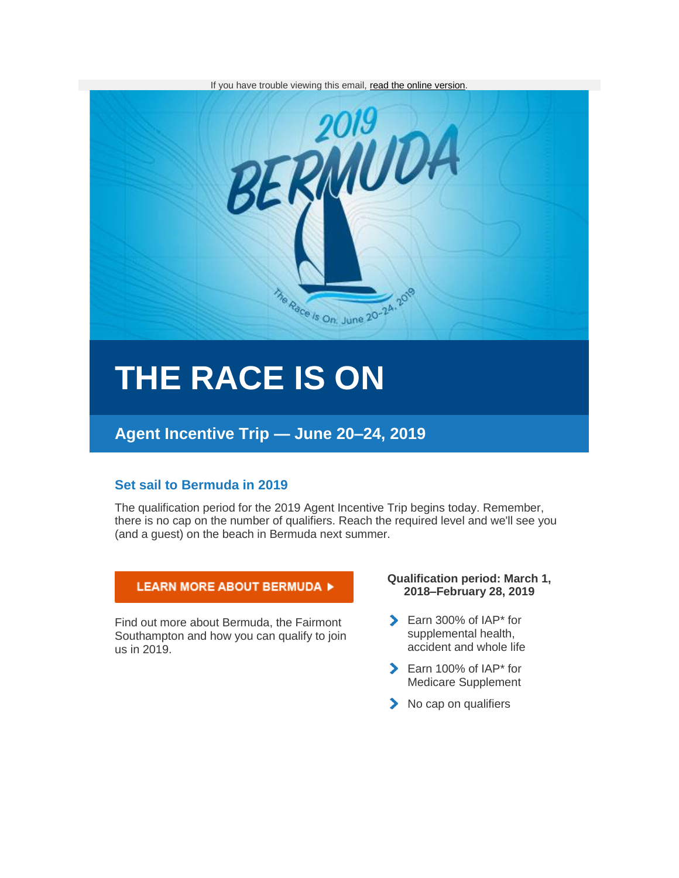

# **THE RACE IS ON**

## **Agent Incentive Trip — June 20–24, 2019**

### **Set sail to Bermuda in 2019**

The qualification period for the 2019 Agent Incentive Trip begins today. Remember, there is no cap on the number of qualifiers. Reach the required level and we'll see you (and a guest) on the beach in Bermuda next summer.

#### LEARN MORE ABOUT BERMUDA ▶

Find out more about Bermuda, the Fairmont Southampton and how you can qualify to join us in 2019.

#### **Qualification period: March 1, 2018–February 28, 2019**

- Earn 300% of IAP\* for supplemental health, accident and whole life
- Earn 100% of IAP\* for Medicare Supplement
- No cap on qualifiers